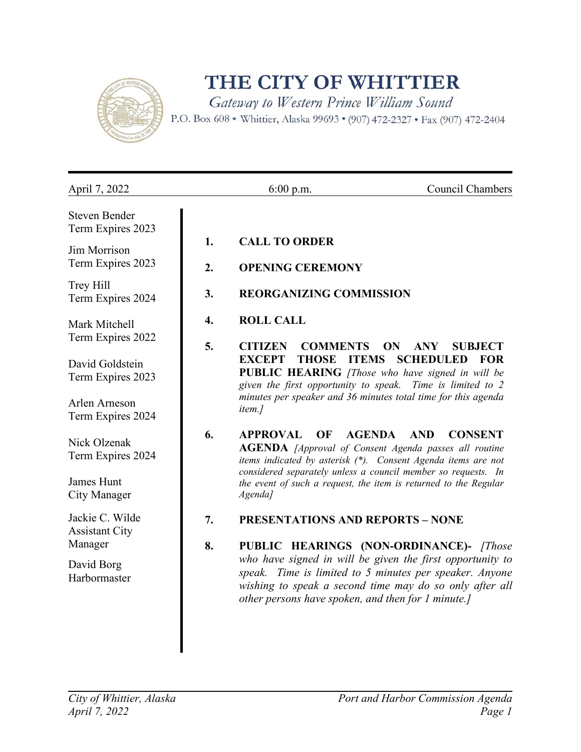

## THE CITY OF WHITTIER

Gateway to Western Prince William Sound

P.O. Box 608 . Whittier, Alaska 99693 . (907) 472-2327 . Fax (907) 472-2404

| April 7, 2022                             |          | $6:00$ p.m.                                        | Council Chambers                                                                                                                                                                |
|-------------------------------------------|----------|----------------------------------------------------|---------------------------------------------------------------------------------------------------------------------------------------------------------------------------------|
| <b>Steven Bender</b><br>Term Expires 2023 |          |                                                    |                                                                                                                                                                                 |
| Jim Morrison<br>Term Expires 2023         | 1.<br>2. | <b>CALL TO ORDER</b><br><b>OPENING CEREMONY</b>    |                                                                                                                                                                                 |
| Trey Hill<br>Term Expires 2024            | 3.       | <b>REORGANIZING COMMISSION</b>                     |                                                                                                                                                                                 |
| Mark Mitchell<br>Term Expires 2022        | 4.       | <b>ROLL CALL</b>                                   |                                                                                                                                                                                 |
|                                           | 5.       | <b>CITIZEN</b><br><b>COMMENTS</b>                  | <b>ANY</b><br>ON<br><b>SUBJECT</b>                                                                                                                                              |
| David Goldstein<br>Term Expires 2023      |          | <b>EXCEPT</b><br><b>THOSE</b>                      | <b>ITEMS</b><br><b>SCHEDULED</b><br><b>FOR</b><br>PUBLIC HEARING [Those who have signed in will be<br>given the first opportunity to speak. Time is limited to 2                |
| Arlen Arneson<br>Term Expires 2024        |          | <i>item.]</i>                                      | minutes per speaker and 36 minutes total time for this agenda                                                                                                                   |
| Nick Olzenak<br>Term Expires 2024         | 6.       | <b>APPROVAL</b><br>OF                              | <b>AGENDA</b><br><b>AND</b><br><b>CONSENT</b><br><b>AGENDA</b> [Approval of Consent Agenda passes all routine<br>items indicated by asterisk (*). Consent Agenda items are not  |
| James Hunt<br><b>City Manager</b>         |          | Agenda]                                            | considered separately unless a council member so requests. In<br>the event of such a request, the item is returned to the Regular                                               |
| Jackie C. Wilde<br><b>Assistant City</b>  | 7.       | <b>PRESENTATIONS AND REPORTS - NONE</b>            |                                                                                                                                                                                 |
| Manager                                   | 8.       |                                                    | PUBLIC HEARINGS (NON-ORDINANCE)- [Those                                                                                                                                         |
| David Borg<br>Harbormaster                |          | other persons have spoken, and then for 1 minute.] | who have signed in will be given the first opportunity to<br>speak. Time is limited to 5 minutes per speaker. Anyone<br>wishing to speak a second time may do so only after all |
|                                           |          |                                                    |                                                                                                                                                                                 |